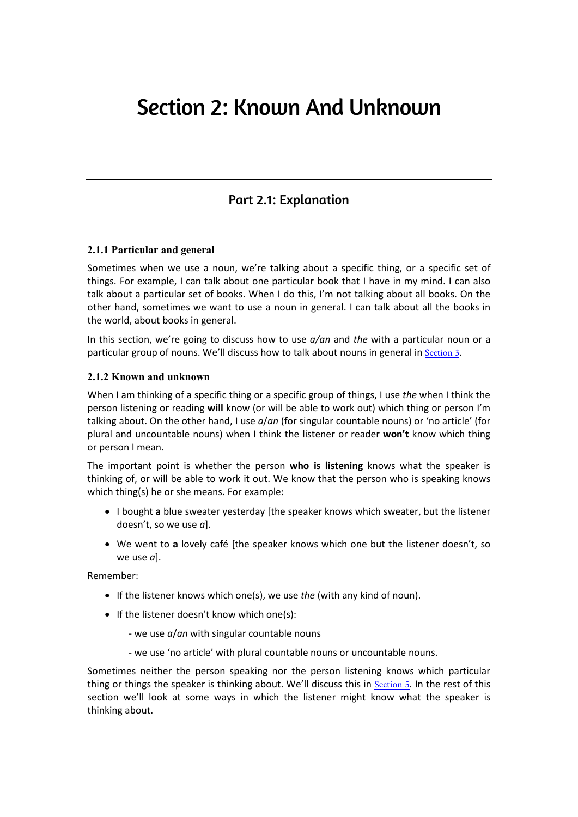# Section 2: Known And Unknown

## Part 2.1: Explanation

#### **2.1.1 Particular and general**

Sometimes when we use a noun, we're talking about a specific thing, or a specific set of things. For example, I can talk about one particular book that I have in my mind. I can also talk about a particular set of books. When I do this, I'm not talking about all books. On the other hand, sometimes we want to use a noun in general. I can talk about all the books in the world, about books in general.

In this section, we're going to discuss how to use *a/an* and *the* with a particular noun or a particular group of nouns. We'll discuss how to talk about nouns in general in Section 3.

#### **2.1.2 Known and unknown**

When I am thinking of a specific thing or a specific group of things, I use *the* when I think the person listening or reading **will** know (or will be able to work out) which thing or person I'm talking about. On the other hand, I use *a*/*an* (for singular countable nouns) or 'no article' (for plural and uncountable nouns) when I think the listener or reader **won't** know which thing or person I mean.

The important point is whether the person **who is listening** knows what the speaker is thinking of, or will be able to work it out. We know that the person who is speaking knows which thing(s) he or she means. For example:

- I bought **a** blue sweater yesterday [the speaker knows which sweater, but the listener doesn't, so we use *a*].
- We went to **a** lovely café [the speaker knows which one but the listener doesn't, so we use *a*].

Remember:

- If the listener knows which one(s), we use *the* (with any kind of noun).
- If the listener doesn't know which one(s):
	- we use *a*/*an* with singular countable nouns
	- we use 'no article' with plural countable nouns or uncountable nouns.

Sometimes neither the person speaking nor the person listening knows which particular thing or things the speaker is thinking about. We'll discuss this in Section 5. In the rest of this section we'll look at some ways in which the listener might know what the speaker is thinking about.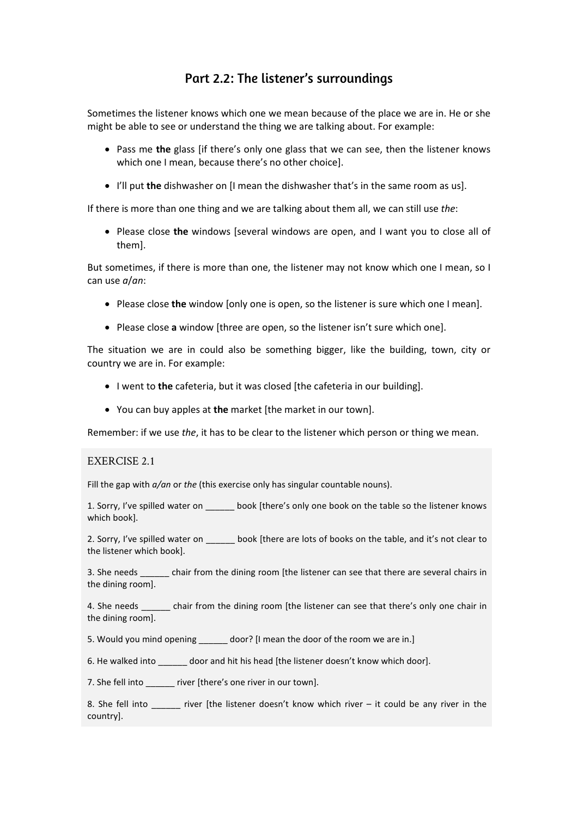# Part 2.2: The listener's surroundings

Sometimes the listener knows which one we mean because of the place we are in. He or she might be able to see or understand the thing we are talking about. For example:

- Pass me **the** glass [if there's only one glass that we can see, then the listener knows which one I mean, because there's no other choice].
- I'll put **the** dishwasher on [I mean the dishwasher that's in the same room as us].

If there is more than one thing and we are talking about them all, we can still use *the*:

• Please close **the** windows [several windows are open, and I want you to close all of them].

But sometimes, if there is more than one, the listener may not know which one I mean, so I can use *a*/*an*:

- Please close **the** window [only one is open, so the listener is sure which one I mean].
- Please close **a** window [three are open, so the listener isn't sure which one].

The situation we are in could also be something bigger, like the building, town, city or country we are in. For example:

- I went to **the** cafeteria, but it was closed [the cafeteria in our building].
- You can buy apples at **the** market [the market in our town].

Remember: if we use *the*, it has to be clear to the listener which person or thing we mean.

#### EXERCISE 2.1

Fill the gap with *a/an* or *the* (this exercise only has singular countable nouns).

1. Sorry, I've spilled water on hook [there's only one book on the table so the listener knows which book].

2. Sorry, I've spilled water on book [there are lots of books on the table, and it's not clear to the listener which book].

3. She needs chair from the dining room [the listener can see that there are several chairs in the dining room].

4. She needs chair from the dining room [the listener can see that there's only one chair in the dining room].

5. Would you mind opening door? [I mean the door of the room we are in.]

6. He walked into door and hit his head [the listener doesn't know which door].

7. She fell into river [there's one river in our town].

8. She fell into  $\qquad$  river [the listener doesn't know which river – it could be any river in the country].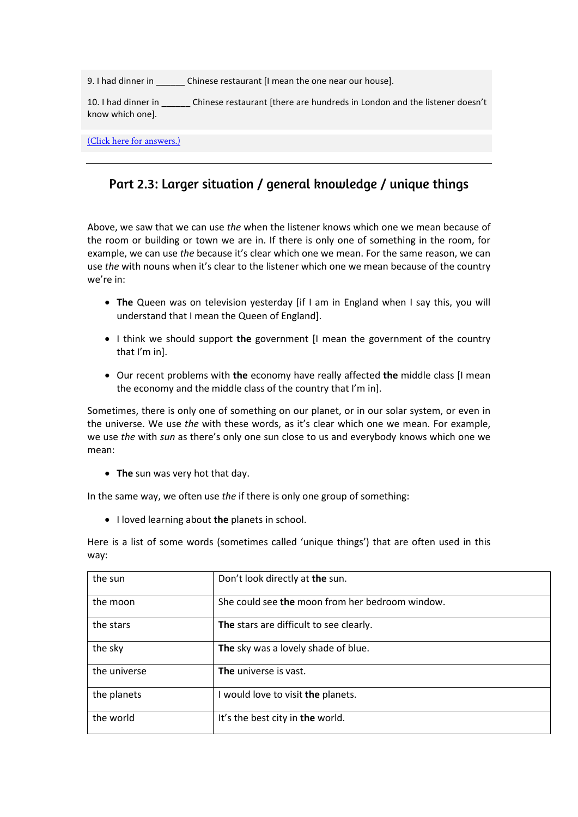9. I had dinner in **Example 2. I construct Chinese restaurant [I** mean the one near our house].

10. I had dinner in \_\_\_\_\_\_\_ Chinese restaurant [there are hundreds in London and the listener doesn't know which one].

(Click here for answers.)

# Part 2.3: Larger situation / general knowledge / unique things

Above, we saw that we can use *the* when the listener knows which one we mean because of the room or building or town we are in. If there is only one of something in the room, for example, we can use *the* because it's clear which one we mean. For the same reason, we can use *the* with nouns when it's clear to the listener which one we mean because of the country we're in:

- **The** Queen was on television yesterday [if I am in England when I say this, you will understand that I mean the Queen of England].
- I think we should support **the** government [I mean the government of the country that I'm in].
- Our recent problems with **the** economy have really affected **the** middle class [I mean the economy and the middle class of the country that I'm in].

Sometimes, there is only one of something on our planet, or in our solar system, or even in the universe. We use *the* with these words, as it's clear which one we mean. For example, we use *the* with *sun* as there's only one sun close to us and everybody knows which one we mean:

• **The** sun was very hot that day.

In the same way, we often use *the* if there is only one group of something:

• I loved learning about **the** planets in school.

Here is a list of some words (sometimes called 'unique things') that are often used in this way:

| the sun      | Don't look directly at the sun.                 |
|--------------|-------------------------------------------------|
| the moon     | She could see the moon from her bedroom window. |
| the stars    | The stars are difficult to see clearly.         |
| the sky      | The sky was a lovely shade of blue.             |
| the universe | <b>The</b> universe is vast.                    |
| the planets  | I would love to visit the planets.              |
| the world    | It's the best city in the world.                |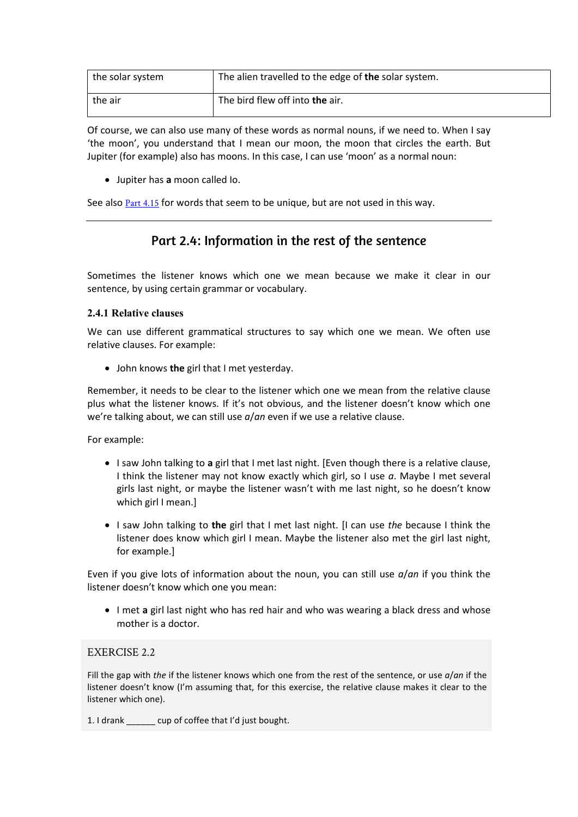| the solar system | The alien travelled to the edge of the solar system. |
|------------------|------------------------------------------------------|
| the air          | The bird flew off into the air.                      |

Of course, we can also use many of these words as normal nouns, if we need to. When I say 'the moon', you understand that I mean our moon, the moon that circles the earth. But Jupiter (for example) also has moons. In this case, I can use 'moon' as a normal noun:

• Jupiter has **a** moon called Io.

See also Part 4.15 for words that seem to be unique, but are not used in this way.

## Part 2.4: Information in the rest of the sentence

Sometimes the listener knows which one we mean because we make it clear in our sentence, by using certain grammar or vocabulary.

#### **2.4.1 Relative clauses**

We can use different grammatical structures to say which one we mean. We often use relative clauses. For example:

• John knows **the** girl that I met yesterday.

Remember, it needs to be clear to the listener which one we mean from the relative clause plus what the listener knows. If it's not obvious, and the listener doesn't know which one we're talking about, we can still use *a*/*an* even if we use a relative clause.

For example:

- I saw John talking to **a** girl that I met last night. [Even though there is a relative clause, I think the listener may not know exactly which girl, so I use *a*. Maybe I met several girls last night, or maybe the listener wasn't with me last night, so he doesn't know which girl I mean.]
- I saw John talking to **the** girl that I met last night. [I can use *the* because I think the listener does know which girl I mean. Maybe the listener also met the girl last night, for example.]

Even if you give lots of information about the noun, you can still use *a*/*an* if you think the listener doesn't know which one you mean:

• I met **a** girl last night who has red hair and who was wearing a black dress and whose mother is a doctor.

#### EXERCISE 2.2

Fill the gap with *the* if the listener knows which one from the rest of the sentence, or use *a*/*an* if the listener doesn't know (I'm assuming that, for this exercise, the relative clause makes it clear to the listener which one).

1. I drank \_\_\_\_\_\_ cup of coffee that I'd just bought.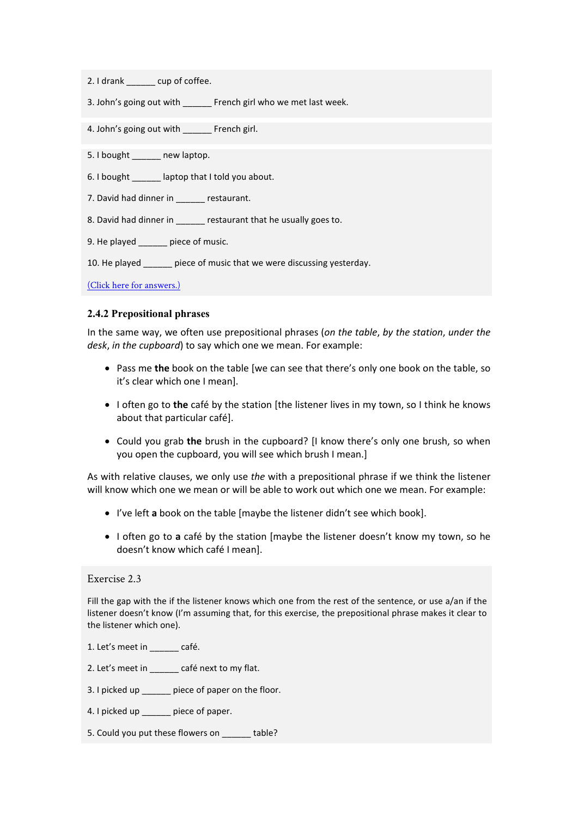- 2. I drank cup of coffee.
- 3. John's going out with French girl who we met last week.

4. John's going out with French girl.

5. I bought \_\_\_\_\_\_ new laptop.

- 6. I bought \_\_\_\_\_\_ laptop that I told you about.
- 7. David had dinner in \_\_\_\_\_\_ restaurant.
- 8. David had dinner in \_\_\_\_\_\_ restaurant that he usually goes to.
- 9. He played piece of music.

10. He played piece of music that we were discussing yesterday.

(Click here for answers.)

#### **2.4.2 Prepositional phrases**

In the same way, we often use prepositional phrases (*on the table*, *by the station*, *under the desk*, *in the cupboard*) to say which one we mean. For example:

- Pass me **the** book on the table [we can see that there's only one book on the table, so it's clear which one I mean].
- I often go to **the** café by the station [the listener lives in my town, so I think he knows about that particular café].
- Could you grab **the** brush in the cupboard? [I know there's only one brush, so when you open the cupboard, you will see which brush I mean.]

As with relative clauses, we only use *the* with a prepositional phrase if we think the listener will know which one we mean or will be able to work out which one we mean. For example:

- I've left **a** book on the table [maybe the listener didn't see which book].
- I often go to **a** café by the station [maybe the listener doesn't know my town, so he doesn't know which café I mean].

#### Exercise 2.3

Fill the gap with the if the listener knows which one from the rest of the sentence, or use a/an if the listener doesn't know (I'm assuming that, for this exercise, the prepositional phrase makes it clear to the listener which one).

- 1. Let's meet in café.
- 2. Let's meet in \_\_\_\_\_\_ café next to my flat.
- 3. I picked up \_\_\_\_\_\_ piece of paper on the floor.
- 4. I picked up \_\_\_\_\_\_ piece of paper.
- 5. Could you put these flowers on table?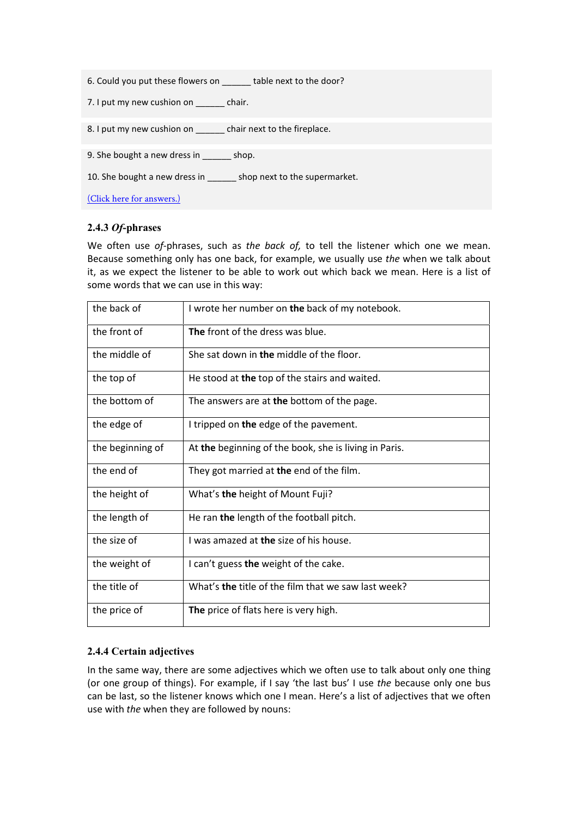|  | 6. Could you put these flowers on | table next to the door? |  |
|--|-----------------------------------|-------------------------|--|
|  |                                   |                         |  |

7. I put my new cushion on chair.

8. I put my new cushion on \_\_\_\_\_\_ chair next to the fireplace.

9. She bought a new dress in \_\_\_\_\_ shop.

10. She bought a new dress in \_\_\_\_\_\_\_ shop next to the supermarket.

(Click here for answers.)

#### **2.4.3** *Of***-phrases**

We often use *of*-phrases, such as *the back of,* to tell the listener which one we mean. Because something only has one back, for example, we usually use *the* when we talk about it, as we expect the listener to be able to work out which back we mean. Here is a list of some words that we can use in this way:

| the back of      | I wrote her number on the back of my notebook.        |
|------------------|-------------------------------------------------------|
| the front of     | <b>The front of the dress was blue.</b>               |
| the middle of    | She sat down in the middle of the floor.              |
| the top of       | He stood at the top of the stairs and waited.         |
| the bottom of    | The answers are at the bottom of the page.            |
| the edge of      | I tripped on the edge of the pavement.                |
| the beginning of | At the beginning of the book, she is living in Paris. |
| the end of       | They got married at the end of the film.              |
| the height of    | What's the height of Mount Fuji?                      |
| the length of    | He ran the length of the football pitch.              |
| the size of      | I was amazed at the size of his house.                |
| the weight of    | I can't guess the weight of the cake.                 |
| the title of     | What's the title of the film that we saw last week?   |
| the price of     | The price of flats here is very high.                 |

#### **2.4.4 Certain adjectives**

In the same way, there are some adjectives which we often use to talk about only one thing (or one group of things). For example, if I say 'the last bus' I use *the* because only one bus can be last, so the listener knows which one I mean. Here's a list of adjectives that we often use with *the* when they are followed by nouns: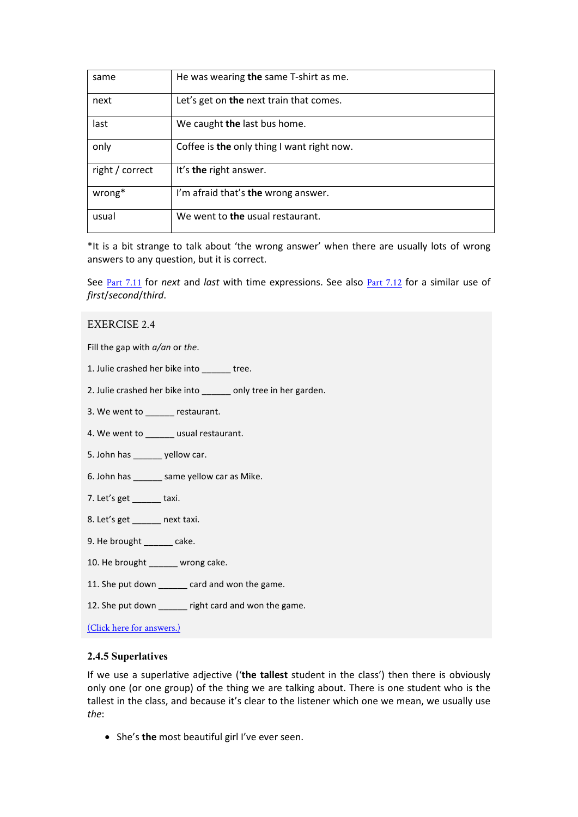| same            | He was wearing the same T-shirt as me.     |
|-----------------|--------------------------------------------|
| next            | Let's get on the next train that comes.    |
| last            | We caught the last bus home.               |
| only            | Coffee is the only thing I want right now. |
| right / correct | It's the right answer.                     |
| wrong*          | I'm afraid that's the wrong answer.        |
| usual           | We went to the usual restaurant.           |

\*It is a bit strange to talk about 'the wrong answer' when there are usually lots of wrong answers to any question, but it is correct.

See Part 7.11 for *next* and *last* with time expressions. See also Part 7.12 for a similar use of *first*/*second*/*third*.

#### EXERCISE 2.4

Fill the gap with *a/an* or *the*.

1. Julie crashed her bike into tree.

2. Julie crashed her bike into \_\_\_\_\_ only tree in her garden.

3. We went to estaurant.

4. We went to **we usual restaurant.** 

5. John has \_\_\_\_\_\_ yellow car.

6. John has same yellow car as Mike.

7. Let's get \_\_\_\_\_\_ taxi.

8. Let's get next taxi.

9. He brought \_\_\_\_\_\_ cake.

10. He brought \_\_\_\_\_\_ wrong cake.

11. She put down card and won the game.

12. She put down \_\_\_\_\_\_ right card and won the game.

(Click here for answers.)

#### **2.4.5 Superlatives**

If we use a superlative adjective ('**the tallest** student in the class') then there is obviously only one (or one group) of the thing we are talking about. There is one student who is the tallest in the class, and because it's clear to the listener which one we mean, we usually use *the*:

• She's **the** most beautiful girl I've ever seen.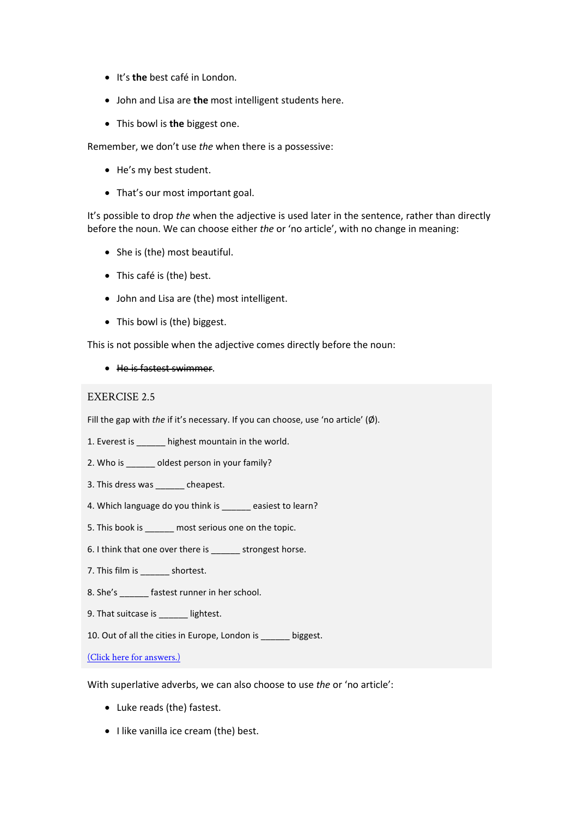- It's **the** best café in London.
- John and Lisa are **the** most intelligent students here.
- This bowl is **the** biggest one.

Remember, we don't use *the* when there is a possessive:

- He's my best student.
- That's our most important goal.

It's possible to drop *the* when the adjective is used later in the sentence, rather than directly before the noun. We can choose either *the* or 'no article', with no change in meaning:

- She is (the) most beautiful.
- This café is (the) best.
- John and Lisa are (the) most intelligent.
- This bowl is (the) biggest.

This is not possible when the adjective comes directly before the noun:

• He is fastest swimmer.

#### EXERCISE 2.5

Fill the gap with *the* if it's necessary. If you can choose, use 'no article' (Ø).

1. Everest is highest mountain in the world.

2. Who is \_\_\_\_\_\_ oldest person in your family?

- 3. This dress was \_\_\_\_\_\_ cheapest.
- 4. Which language do you think is easiest to learn?
- 5. This book is \_\_\_\_\_\_ most serious one on the topic.
- 6. I think that one over there is strongest horse.
- 7. This film is \_\_\_\_\_\_\_ shortest.
- 8. She's fastest runner in her school.
- 9. That suitcase is **interely** lightest.
- 10. Out of all the cities in Europe, London is \_\_\_\_\_\_ biggest.

(Click here for answers.)

With superlative adverbs, we can also choose to use *the* or 'no article':

- Luke reads (the) fastest.
- I like vanilla ice cream (the) best.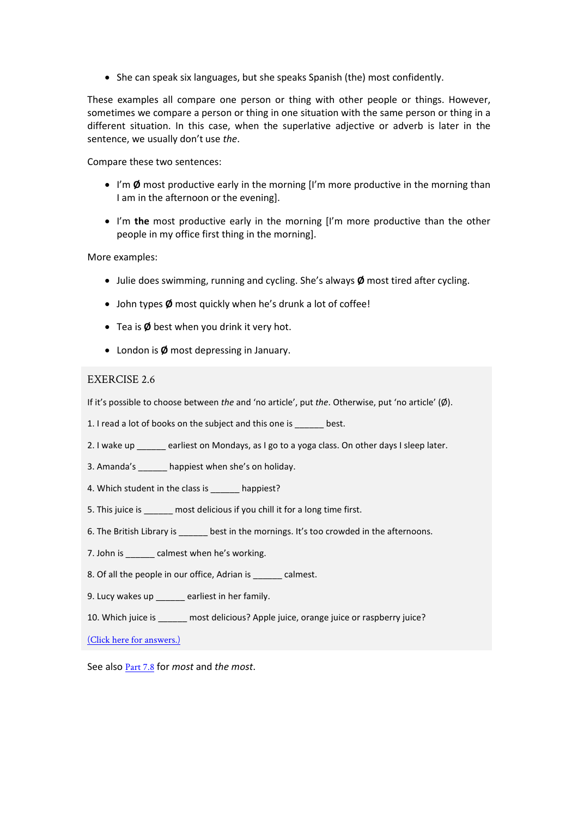• She can speak six languages, but she speaks Spanish (the) most confidently.

These examples all compare one person or thing with other people or things. However, sometimes we compare a person or thing in one situation with the same person or thing in a different situation. In this case, when the superlative adjective or adverb is later in the sentence, we usually don't use *the*.

Compare these two sentences:

- I'm **Ø** most productive early in the morning [I'm more productive in the morning than I am in the afternoon or the evening].
- I'm **the** most productive early in the morning [I'm more productive than the other people in my office first thing in the morning].

#### More examples:

- Julie does swimming, running and cycling. She's always **Ø** most tired after cycling.
- John types **Ø** most quickly when he's drunk a lot of coffee!
- Tea is **Ø** best when you drink it very hot.
- London is **Ø** most depressing in January.

#### EXERCISE 2.6

If it's possible to choose between *the* and 'no article', put *the*. Otherwise, put 'no article' (Ø).

1. I read a lot of books on the subject and this one is \_\_\_\_\_\_ best.

- 2. I wake up earliest on Mondays, as I go to a yoga class. On other days I sleep later.
- 3. Amanda's happiest when she's on holiday.
- 4. Which student in the class is happiest?
- 5. This juice is **most delicious if you chill it for a long time first.**
- 6. The British Library is best in the mornings. It's too crowded in the afternoons.
- 7. John is \_\_\_\_\_\_ calmest when he's working.
- 8. Of all the people in our office, Adrian is calmest.
- 9. Lucy wakes up \_\_\_\_\_\_ earliest in her family.

10. Which juice is \_\_\_\_\_\_ most delicious? Apple juice, orange juice or raspberry juice?

(Click here for answers.)

See also Part 7.8 for *most* and *the most*.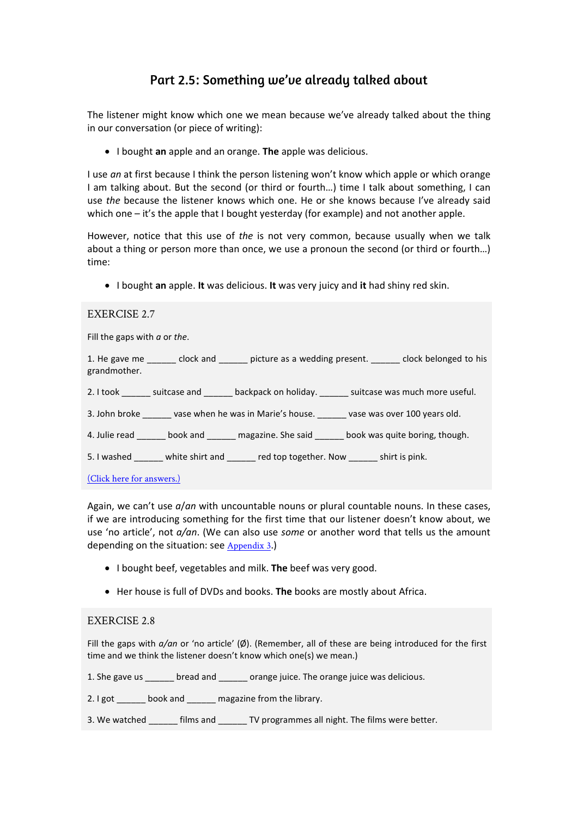# Part 2.5: Something we've already talked about

The listener might know which one we mean because we've already talked about the thing in our conversation (or piece of writing):

• I bought **an** apple and an orange. **The** apple was delicious.

I use *an* at first because I think the person listening won't know which apple or which orange I am talking about. But the second (or third or fourth…) time I talk about something, I can use *the* because the listener knows which one. He or she knows because I've already said which one – it's the apple that I bought yesterday (for example) and not another apple.

However, notice that this use of *the* is not very common, because usually when we talk about a thing or person more than once, we use a pronoun the second (or third or fourth…) time:

• I bought **an** apple. **It** was delicious. **It** was very juicy and **it** had shiny red skin.

Fill the gaps with *a* or *the*.

1. He gave me dock and picture as a wedding present. The save belonged to his grandmother.

2. I took suitcase and backpack on holiday. Let use was much more useful.

3. John broke \_\_\_\_\_\_ vase when he was in Marie's house. \_\_\_\_\_\_ vase was over 100 years old.

4. Julie read \_\_\_\_\_\_ book and \_\_\_\_\_\_ magazine. She said \_\_\_\_\_\_ book was quite boring, though.

5. I washed white shirt and red top together. Now shirt is pink.

(Click here for answers.)

Again, we can't use *a*/*an* with uncountable nouns or plural countable nouns. In these cases, if we are introducing something for the first time that our listener doesn't know about, we use 'no article', not *a/an*. (We can also use *some* or another word that tells us the amount depending on the situation: see Appendix 3.)

- I bought beef, vegetables and milk. **The** beef was very good.
- Her house is full of DVDs and books. **The** books are mostly about Africa.

#### EXERCISE 2.8

Fill the gaps with *a/an* or 'no article' (Ø). (Remember, all of these are being introduced for the first time and we think the listener doesn't know which one(s) we mean.)

1. She gave us bread and crange juice. The orange juice was delicious.

2. I got book and magazine from the library.

3. We watched films and TV programmes all night. The films were better.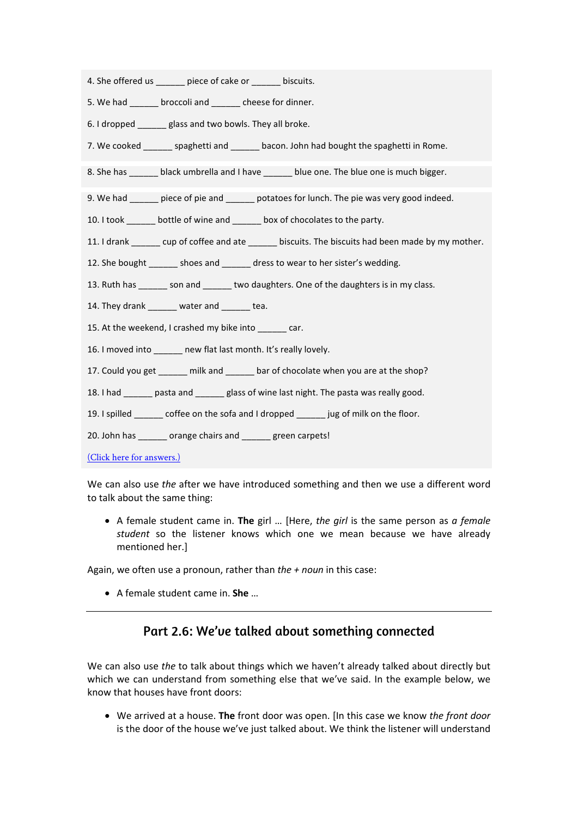- 4. She offered us entitled piece of cake or the biscuits.
- 5. We had broccoli and cheese for dinner.
- 6. I dropped \_\_\_\_\_\_ glass and two bowls. They all broke.
- 7. We cooked spaghetti and bacon. John had bought the spaghetti in Rome.
- 8. She has \_\_\_\_\_\_\_ black umbrella and I have \_\_\_\_\_\_\_ blue one. The blue one is much bigger.
- 9. We had biece of pie and potatoes for lunch. The pie was very good indeed.
- 10. I took \_\_\_\_\_\_ bottle of wine and \_\_\_\_\_\_ box of chocolates to the party.
- 11. I drank cup of coffee and ate biscuits. The biscuits had been made by my mother.
- 12. She bought shoes and dress to wear to her sister's wedding.
- 13. Ruth has \_\_\_\_\_\_ son and \_\_\_\_\_\_ two daughters. One of the daughters is in my class.
- 14. They drank water and tea.
- 15. At the weekend, I crashed my bike into car.
- 16. I moved into **new flat last month. It's really lovely.**
- 17. Could you get milk and bar of chocolate when you are at the shop?
- 18. I had \_\_\_\_\_\_ pasta and \_\_\_\_\_\_ glass of wine last night. The pasta was really good.
- 19. I spilled \_\_\_\_\_\_ coffee on the sofa and I dropped \_\_\_\_\_\_ jug of milk on the floor.
- 20. John has \_\_\_\_\_\_ orange chairs and \_\_\_\_\_\_ green carpets!
- (Click here for answers.)

We can also use *the* after we have introduced something and then we use a different word to talk about the same thing:

• A female student came in. **The** girl … [Here, *the girl* is the same person as *a female student* so the listener knows which one we mean because we have already mentioned her.]

Again, we often use a pronoun, rather than *the + noun* in this case:

• A female student came in. **She** …

## Part 2.6: We've talked about something connected

We can also use *the* to talk about things which we haven't already talked about directly but which we can understand from something else that we've said. In the example below, we know that houses have front doors:

• We arrived at a house. **The** front door was open. [In this case we know *the front door* is the door of the house we've just talked about. We think the listener will understand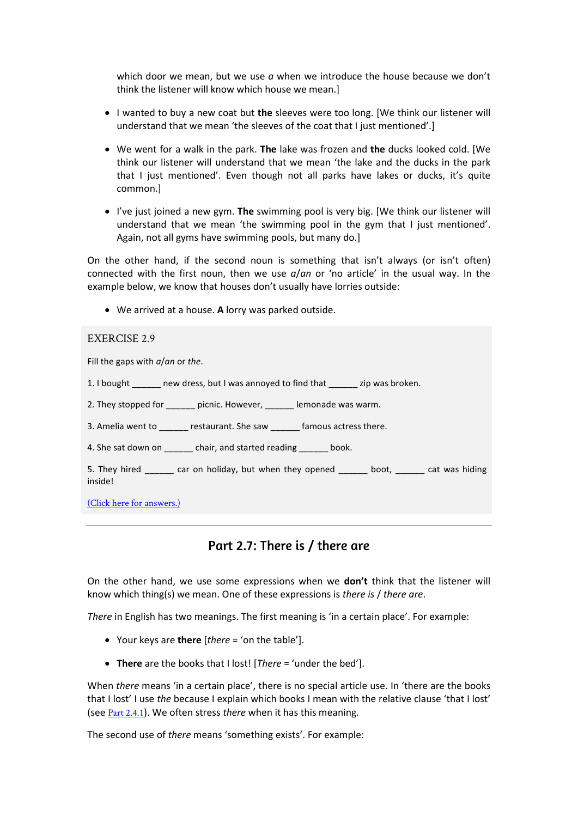which door we mean, but we use *a* when we introduce the house because we don't think the listener will know which house we mean.]

- I wanted to buy a new coat but **the** sleeves were too long. [We think our listener will understand that we mean 'the sleeves of the coat that I just mentioned'.]
- We went for a walk in the park. **The** lake was frozen and **the** ducks looked cold. [We think our listener will understand that we mean 'the lake and the ducks in the park that I just mentioned'. Even though not all parks have lakes or ducks, it's quite common.]
- I've just joined a new gym. **The** swimming pool is very big. [We think our listener will understand that we mean 'the swimming pool in the gym that I just mentioned'. Again, not all gyms have swimming pools, but many do.]

On the other hand, if the second noun is something that isn't always (or isn't often) connected with the first noun, then we use *a*/*an* or 'no article' in the usual way. In the example below, we know that houses don't usually have lorries outside:

• We arrived at a house. **A** lorry was parked outside.

#### EXERCISE 2.9

Fill the gaps with *a*/*an* or *the*.

- 1. I bought have new dress, but I was annoyed to find that zip was broken.
- 2. They stopped for \_\_\_\_\_\_\_ picnic. However, \_\_\_\_\_\_\_ lemonade was warm.
- 3. Amelia went to estaurant. She saw famous actress there.
- 4. She sat down on \_\_\_\_\_\_\_ chair, and started reading \_\_\_\_\_\_ book.

5. They hired \_\_\_\_\_\_ car on holiday, but when they opened \_\_\_\_\_\_ boot, \_\_\_\_\_\_ cat was hiding inside!

(Click here for answers.)

## Part 2.7: There is / there are

On the other hand, we use some expressions when we **don't** think that the listener will know which thing(s) we mean. One of these expressions is *there is* / *there are*.

*There* in English has two meanings. The first meaning is 'in a certain place'. For example:

- Your keys are **there** [*there* = 'on the table'].
- **There** are the books that I lost! [*There* = 'under the bed'].

When *there* means 'in a certain place', there is no special article use. In 'there are the books that I lost' I use *the* because I explain which books I mean with the relative clause 'that I lost' (see Part 2.4.1). We often stress *there* when it has this meaning.

The second use of *there* means 'something exists'. For example: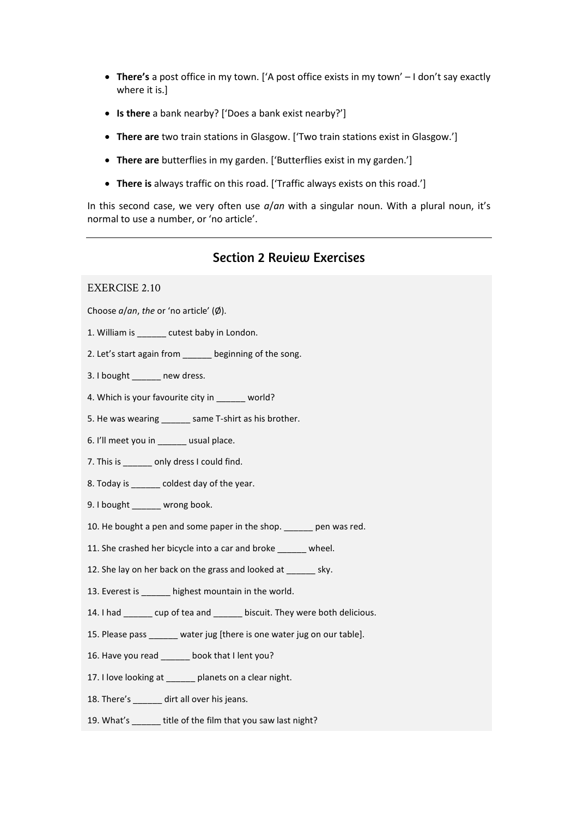- **There's** a post office in my town. ['A post office exists in my town' I don't say exactly where it is.]
- **Is there** a bank nearby? ['Does a bank exist nearby?']
- **There are** two train stations in Glasgow. ['Two train stations exist in Glasgow.']
- **There are** butterflies in my garden. ['Butterflies exist in my garden.']
- **There is** always traffic on this road. ['Traffic always exists on this road.']

In this second case, we very often use *a*/*an* with a singular noun. With a plural noun, it's normal to use a number, or 'no article'.

### Section 2 Review Exercises

#### EXERCISE 2.10

Choose *a*/*an*, *the* or 'no article' (Ø).

- 1. William is \_\_\_\_\_\_ cutest baby in London.
- 2. Let's start again from beginning of the song.
- 3. I bought \_\_\_\_\_\_ new dress.
- 4. Which is your favourite city in world?
- 5. He was wearing same T-shirt as his brother.
- 6. I'll meet you in \_\_\_\_\_\_ usual place.
- 7. This is \_\_\_\_\_\_ only dress I could find.
- 8. Today is \_\_\_\_\_\_ coldest day of the year.
- 9. I bought wrong book.
- 10. He bought a pen and some paper in the shop. \_\_\_\_\_\_ pen was red.
- 11. She crashed her bicycle into a car and broke wheel.
- 12. She lay on her back on the grass and looked at \_\_\_\_\_\_ sky.
- 13. Everest is \_\_\_\_\_\_ highest mountain in the world.
- 14. I had \_\_\_\_\_\_ cup of tea and \_\_\_\_\_\_ biscuit. They were both delicious.
- 15. Please pass \_\_\_\_\_\_ water jug [there is one water jug on our table].
- 16. Have you read \_\_\_\_\_\_ book that I lent you?
- 17. I love looking at \_\_\_\_\_\_ planets on a clear night.
- 18. There's dirt all over his jeans.
- 19. What's \_\_\_\_\_\_ title of the film that you saw last night?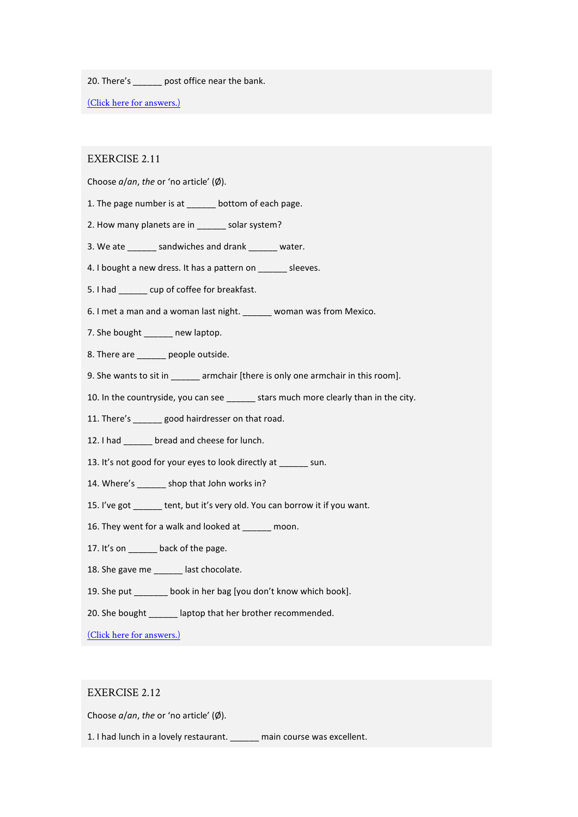20. There's post office near the bank.

(Click here for answers.)

#### EXERCISE 2.11

Choose *a*/*an*, *the* or 'no article' (Ø).

- 1. The page number is at \_\_\_\_\_\_ bottom of each page.
- 2. How many planets are in \_\_\_\_\_\_ solar system?
- 3. We ate \_\_\_\_\_\_ sandwiches and drank \_\_\_\_\_\_ water.
- 4. I bought a new dress. It has a pattern on \_\_\_\_\_\_ sleeves.
- 5. I had \_\_\_\_\_\_ cup of coffee for breakfast.
- 6. I met a man and a woman last night. \_\_\_\_\_\_ woman was from Mexico.
- 7. She bought \_\_\_\_\_\_ new laptop.
- 8. There are \_\_\_\_\_\_ people outside.
- 9. She wants to sit in \_\_\_\_\_\_ armchair [there is only one armchair in this room].
- 10. In the countryside, you can see \_\_\_\_\_\_ stars much more clearly than in the city.
- 11. There's \_\_\_\_\_\_ good hairdresser on that road.
- 12. I had bread and cheese for lunch.
- 13. It's not good for your eyes to look directly at sun.
- 14. Where's shop that John works in?
- 15. I've got \_\_\_\_\_\_ tent, but it's very old. You can borrow it if you want.
- 16. They went for a walk and looked at moon.
- 17. It's on back of the page.
- 18. She gave me \_\_\_\_\_\_\_ last chocolate.
- 19. She put \_\_\_\_\_\_\_ book in her bag [you don't know which book].
- 20. She bought \_\_\_\_\_\_ laptop that her brother recommended.

(Click here for answers.)

#### EXERCISE 2.12

Choose *a*/*an*, *the* or 'no article' (Ø).

1. I had lunch in a lovely restaurant. \_\_\_\_\_\_ main course was excellent.